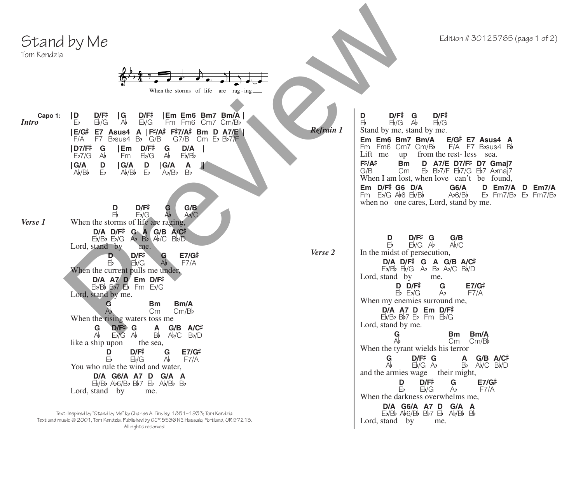## Stand by Me





| Stand by Me<br>Tom Kendzia                                                                                                                                                                                                                                                                                                                                                                                                                                                                                                                                                                                                                                                                                                    | Edition #30125765 (page 1 of 2)                                                                                                                                                                                                                                                                                                                                                |
|-------------------------------------------------------------------------------------------------------------------------------------------------------------------------------------------------------------------------------------------------------------------------------------------------------------------------------------------------------------------------------------------------------------------------------------------------------------------------------------------------------------------------------------------------------------------------------------------------------------------------------------------------------------------------------------------------------------------------------|--------------------------------------------------------------------------------------------------------------------------------------------------------------------------------------------------------------------------------------------------------------------------------------------------------------------------------------------------------------------------------|
| When the storms of life are rag-ing<br>$D/F^{\ddagger}$<br>D/F#<br>Capo 1:<br> D <br> G <br> Em Em6 Bm7 Bm/A <br>Eb/G<br><i>Intro</i><br>Eb<br>$\forall$<br>Fm Fm6 Cm7 Cm/Bb<br>Eb/G<br>A $ F# / A# F# 7 / A#$ Bm D A7/E<br>E/G# E7 Asus4<br>F7 Bbsus4 Bb G/B<br>F/A<br>  D7/F‡<br>D/A<br>G<br> Em<br>D/F#<br>$\mathop{\mathsf{G}}\limits_{\mathsf{A}\flat}$<br>Eb/Bb<br>Eb/G<br>Eb7/G<br>Ab<br>Fm<br>$\begin{array}{c} \mathsf{G}/\mathsf{A} \\ \mathsf{A}\flat/\mathsf{B}\flat \end{array}$<br>$\begin{array}{c} \mathsf{IGA} \ \mathsf{Ab}/\mathsf{Bb} \end{array}$<br>D<br>$\begin{array}{c} \n\text{G/A} \\ \text{Ab/Bb}\n\end{array}$<br>$\mathop{\mathrm{B}}\limits_{\mathrm{Bb}}$<br>D<br>Ж<br>$\bar{E}$<br>$\bar{E}$ | D/F#<br>D/F#<br>D<br>G<br>$E_{b}$<br>$Eb/G$ $Ab$<br>Eb/G<br><b>Refrain 1</b><br>Stand by me, stand by me.<br>Em Em6 Bm7 Bm/A<br>$E/G$ # E7 Asus4 A<br>Fm Fm6 Cm7 Cm/Bb<br>$F/A$ F7 Bbsus4 Bb<br>Lift me<br>from the rest-less sea.<br>up<br>F#/A#<br>D A7/E D7/F# D7 Gmaj7<br><b>Bm</b><br>Eb Bb7/F Eb7/G Eb7 Abmaj7<br>G/B<br>Cm<br>When I am lost, when love can't be found, |
| $D/F\#$<br>G/B<br>D<br>G<br>$\overline{Ab}$<br>Eb<br>Eb/G<br>Ab/C<br>Verse 1<br>When the storms of life are raging,<br>$D/A$ $D/F$ <sup>#</sup> $G$ $A$ $G/B$ $A/C$ $\sharp$<br>$E$ <sub><i>b</i></sub> $B$ <sub><i>b</i></sub> $B$ <sub><i>b</i></sub> $B$ <sub><i>b</i></sub> $B$ <sub><i>b</i></sub> $D$<br>Lord, stand by<br>me.<br>$D/F^{\ddagger}$<br>E7/G#<br>D<br>G<br>$E_{b}$<br>Eb/G<br>Ab<br>F7/A                                                                                                                                                                                                                                                                                                                  | Em D/F# G6 D/A<br>$G6/A$<br>Ab6/Bb<br>D Em7/A<br>D Em7/A<br>$Fm$ Eb/G Ab6 Eb/Bb<br>$Eb$ Fm7/B <sub>b</sub> $Eb$ Fm7/B <sub>b</sub><br>when no one cares, Lord, stand by me.<br>D/F# G<br>G/B<br>D<br>Eb<br>$Eb/G$ $Ab$<br>Ab/C<br>Verse 2<br>In the midst of persecution,<br>D/A D/F# G A G/B A/C#                                                                             |
| When the current pulls me under,<br>$D/A$ A7 $\overline{D}$ Em $D/F^{\sharp}$<br>Eb/Bb Bb7 Eb Fm Eb/G<br>Lord, stand by me.<br>G<br><b>Bm</b><br>Bm/A<br>Ab<br>Cm<br>Cm/Bb<br>When the rising waters toss me<br>G<br>D/F# G<br>$\mathsf{A}$<br>$G/B$ $A/C$ #                                                                                                                                                                                                                                                                                                                                                                                                                                                                  | $Eb/Bb$ $Eb/G$ $Ab$ $Bb$ $Ab/C$ $Bb/D$<br>Lord, stand by<br>me.<br>$D$ $D/F$ #<br>G<br>E7/G#<br>$Eb$ $Eb/G$<br>F7/A<br>Ab<br>When my enemies surround me,<br>$D/A$ A7 D Em $D/F$ #<br>$Eb/Bb$ $Bb7$ $Eb$ $Fm$ $Eb/G$<br>Lord, stand by me.<br>Bm/A<br>Bm                                                                                                                       |
| Bb<br>$Eb/G$ $Ab$<br>$Ab/C$ $Bb/D$<br>Ab<br>like a ship upon<br>the sea,<br>D/F#<br>E7/G#<br>G<br>D<br>Eb/G<br>Ab<br>F7/A<br>ЬÞ<br>You who rule the wind and water,<br>D/A G6/A A7 D G/A A<br>$Eb/Bb$ $Ab6/Bb$ $Bb7$ $Eb$ $Ab/Bb$ $Bb$<br>Lord, stand by<br>me.                                                                                                                                                                                                                                                                                                                                                                                                                                                               | $\frac{G}{A}$<br>Cm/Bb<br>Cm<br>When the tyrant wields his terror<br>$G$ D/F# G A G/B A/C#<br>Ab<br>$Eb/G$ $Ab$<br>Bb<br>$Ab/C$ $Bb/D$<br>and the armies wage their might,<br>$D/F^{\ddagger}$<br>D<br>G<br>E7/G#<br>Eþ<br>$E\negthinspace b/G$<br>Ab<br>F7/A<br>When the darkness overwhelms me,<br>D/A G6/A A7 D G/A A                                                       |
| Text: Inspired by "Stand by Me" by Charles A. Tindley, 1851-1933; Tom Kendzia.<br>Text and music @ 2001, Tom Kendzia. Published by OCP, 5536 NE Hassalo, Portland, OR 97213.                                                                                                                                                                                                                                                                                                                                                                                                                                                                                                                                                  | $Eb/Bb$ Ab6/Bb Bb7 $Eb$ Ab/Bb Bb<br>Lord, stand by<br>me.                                                                                                                                                                                                                                                                                                                      |

Text and music © 2001, Tom Kendzia. Published by OCP, 5536 NE Hassalo, Portland, OR 97213. All rights reserved.